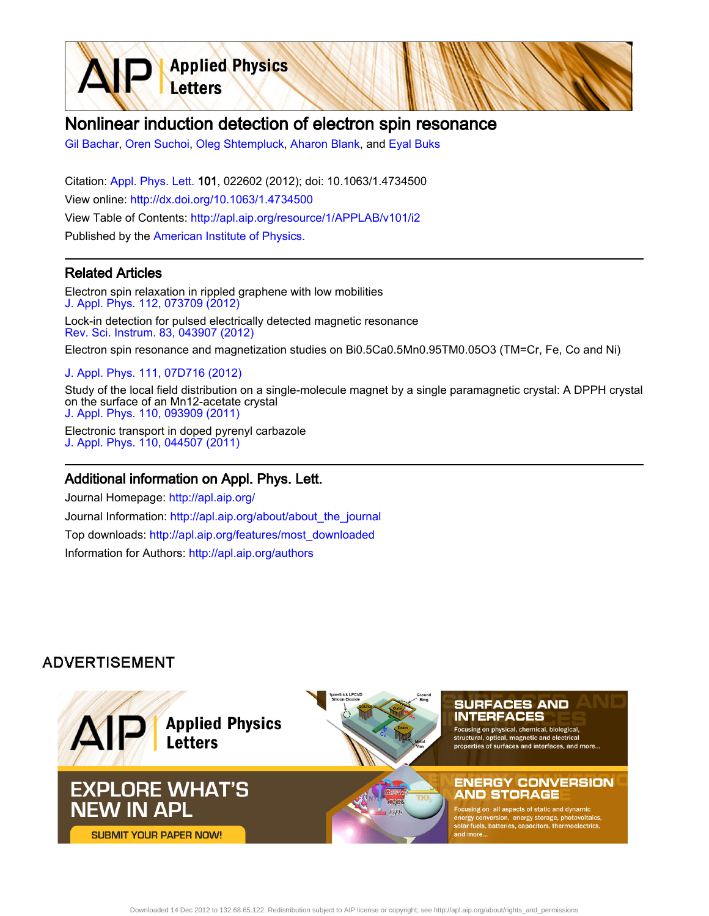

[Gil Bachar,](http://apl.aip.org/search?sortby=newestdate&q=&searchzone=2&searchtype=searchin&faceted=faceted&key=AIP_ALL&possible1=Gil Bachar&possible1zone=author&alias=&displayid=AIP&ver=pdfcov) [Oren Suchoi,](http://apl.aip.org/search?sortby=newestdate&q=&searchzone=2&searchtype=searchin&faceted=faceted&key=AIP_ALL&possible1=Oren Suchoi&possible1zone=author&alias=&displayid=AIP&ver=pdfcov) [Oleg Shtempluck](http://apl.aip.org/search?sortby=newestdate&q=&searchzone=2&searchtype=searchin&faceted=faceted&key=AIP_ALL&possible1=Oleg Shtempluck&possible1zone=author&alias=&displayid=AIP&ver=pdfcov), [Aharon Blank,](http://apl.aip.org/search?sortby=newestdate&q=&searchzone=2&searchtype=searchin&faceted=faceted&key=AIP_ALL&possible1=Aharon Blank&possible1zone=author&alias=&displayid=AIP&ver=pdfcov) and [Eyal Buks](http://apl.aip.org/search?sortby=newestdate&q=&searchzone=2&searchtype=searchin&faceted=faceted&key=AIP_ALL&possible1=Eyal Buks&possible1zone=author&alias=&displayid=AIP&ver=pdfcov)

**Applied Physics** 

Letters

Citation: [Appl. Phys. Lett. 1](http://apl.aip.org/?ver=pdfcov)01, 022602 (2012); doi: 10.1063/1.4734500 View online: [http://dx.doi.org/10.1063/1.4734500](http://link.aip.org/link/doi/10.1063/1.4734500?ver=pdfcov) View Table of Contents: [http://apl.aip.org/resource/1/APPLAB/v101/i2](http://apl.aip.org/resource/1/APPLAB/v101/i2?ver=pdfcov) Published by the [American Institute of Physics.](http://www.aip.org/?ver=pdfcov)

## Related Articles

Electron spin relaxation in rippled graphene with low mobilities [J. Appl. Phys. 112, 073709 \(2012\)](http://link.aip.org/link/doi/10.1063/1.4757417?ver=pdfcov)

Lock-in detection for pulsed electrically detected magnetic resonance [Rev. Sci. Instrum. 83, 043907 \(2012\)](http://link.aip.org/link/doi/10.1063/1.4704837?ver=pdfcov)

Electron spin resonance and magnetization studies on Bi0.5Ca0.5Mn0.95TM0.05O3 (TM=Cr, Fe, Co and Ni)

#### [J. Appl. Phys. 111, 07D716 \(2012\)](http://link.aip.org/link/doi/10.1063/1.3677383?ver=pdfcov)

Study of the local field distribution on a single-molecule magnet by a single paramagnetic crystal: A DPPH crystal on the surface of an Mn12-acetate crystal [J. Appl. Phys. 110, 093909 \(2011\)](http://link.aip.org/link/doi/10.1063/1.3658218?ver=pdfcov)

Electronic transport in doped pyrenyl carbazole [J. Appl. Phys. 110, 044507 \(2011\)](http://link.aip.org/link/doi/10.1063/1.3626046?ver=pdfcov)

### Additional information on Appl. Phys. Lett.

Journal Homepage: [http://apl.aip.org/](http://apl.aip.org/?ver=pdfcov) Journal Information: [http://apl.aip.org/about/about\\_the\\_journal](http://apl.aip.org/about/about_the_journal?ver=pdfcov) Top downloads: [http://apl.aip.org/features/most\\_downloaded](http://apl.aip.org/features/most_downloaded?ver=pdfcov) Information for Authors: [http://apl.aip.org/authors](http://apl.aip.org/authors?ver=pdfcov)

# **ADVERTISEMENT**

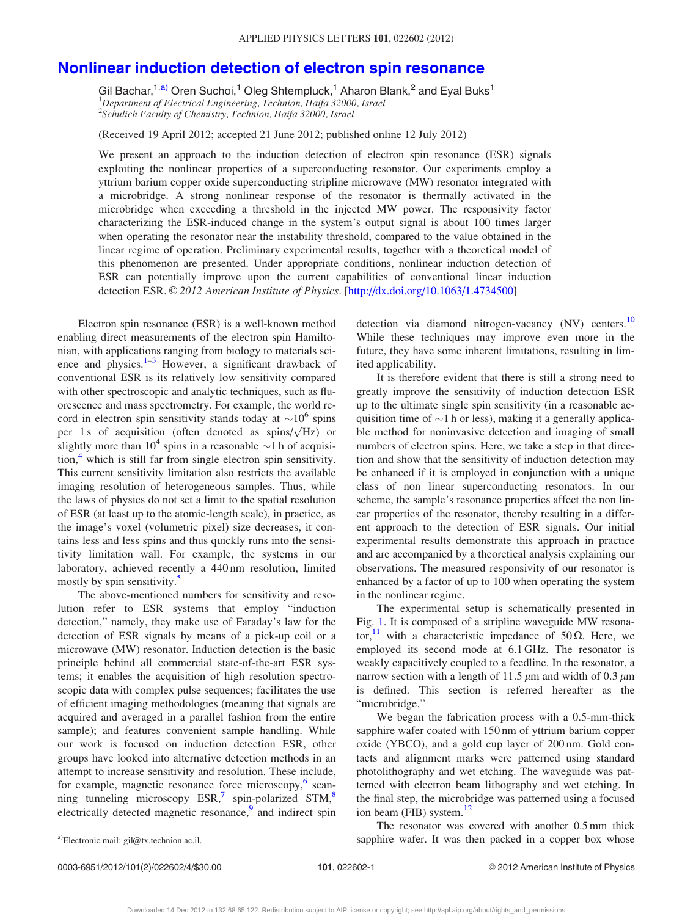# [Nonlinear induction detection of electron spin resonance](http://dx.doi.org/10.1063/1.4734500)

Gil Bachar,<sup>1,a)</sup> Oren Suchoi,<sup>1</sup> Oleg Shtempluck,<sup>1</sup> Aharon Blank,<sup>2</sup> and Eyal Buks<sup>1</sup><br><sup>1</sup>Department of Electrical Engineering, Technion, Haifa 32000, Israel <sup>2</sup>Schulich Faculty of Chemistry, Technion, Haifa 32000, Israel

(Received 19 April 2012; accepted 21 June 2012; published online 12 July 2012)

We present an approach to the induction detection of electron spin resonance (ESR) signals exploiting the nonlinear properties of a superconducting resonator. Our experiments employ a yttrium barium copper oxide superconducting stripline microwave (MW) resonator integrated with a microbridge. A strong nonlinear response of the resonator is thermally activated in the microbridge when exceeding a threshold in the injected MW power. The responsivity factor characterizing the ESR-induced change in the system's output signal is about 100 times larger when operating the resonator near the instability threshold, compared to the value obtained in the linear regime of operation. Preliminary experimental results, together with a theoretical model of this phenomenon are presented. Under appropriate conditions, nonlinear induction detection of ESR can potentially improve upon the current capabilities of conventional linear induction detection ESR. © 2012 American Institute of Physics. [[http://dx.doi.org/10.1063/1.4734500\]](http://dx.doi.org/10.1063/1.4734500)

Electron spin resonance (ESR) is a well-known method enabling direct measurements of the electron spin Hamiltonian, with applications ranging from biology to materials science and physics. $1-3$  However, a significant drawback of conventional ESR is its relatively low sensitivity compared with other spectroscopic and analytic techniques, such as fluorescence and mass spectrometry. For example, the world record in electron spin sensitivity stands today at  $\sim 10^6$  spins cord in electron spin sensitivity stands today at  $\sim$ 10 spins<br>per 1 s of acquisition (often denoted as spins/ $\sqrt{Hz}$ ) or slightly more than  $10^4$  spins in a reasonable  $\sim$ 1 h of acquisition, $4$  which is still far from single electron spin sensitivity. This current sensitivity limitation also restricts the available imaging resolution of heterogeneous samples. Thus, while the laws of physics do not set a limit to the spatial resolution of ESR (at least up to the atomic-length scale), in practice, as the image's voxel (volumetric pixel) size decreases, it contains less and less spins and thus quickly runs into the sensitivity limitation wall. For example, the systems in our laboratory, achieved recently a 440 nm resolution, limited mostly by spin sensitivity.<sup>[5](#page-4-0)</sup>

The above-mentioned numbers for sensitivity and resolution refer to ESR systems that employ "induction detection," namely, they make use of Faraday's law for the detection of ESR signals by means of a pick-up coil or a microwave (MW) resonator. Induction detection is the basic principle behind all commercial state-of-the-art ESR systems; it enables the acquisition of high resolution spectroscopic data with complex pulse sequences; facilitates the use of efficient imaging methodologies (meaning that signals are acquired and averaged in a parallel fashion from the entire sample); and features convenient sample handling. While our work is focused on induction detection ESR, other groups have looked into alternative detection methods in an attempt to increase sensitivity and resolution. These include, for example, magnetic resonance force microscopy, $6 \text{ scan}$  $6 \text{ scan}$ ning tunneling microscopy  $ESR$ ,<sup>[7](#page-4-0)</sup> spin-polarized  $STM$ ,<sup>[8](#page-4-0)</sup> electrically detected magnetic resonance,<sup>[9](#page-4-0)</sup> and indirect spin detection via diamond nitrogen-vacancy (NV) centers.<sup>[10](#page-4-0)</sup> While these techniques may improve even more in the future, they have some inherent limitations, resulting in limited applicability.

It is therefore evident that there is still a strong need to greatly improve the sensitivity of induction detection ESR up to the ultimate single spin sensitivity (in a reasonable acquisition time of  $\sim$ 1 h or less), making it a generally applicable method for noninvasive detection and imaging of small numbers of electron spins. Here, we take a step in that direction and show that the sensitivity of induction detection may be enhanced if it is employed in conjunction with a unique class of non linear superconducting resonators. In our scheme, the sample's resonance properties affect the non linear properties of the resonator, thereby resulting in a different approach to the detection of ESR signals. Our initial experimental results demonstrate this approach in practice and are accompanied by a theoretical analysis explaining our observations. The measured responsivity of our resonator is enhanced by a factor of up to 100 when operating the system in the nonlinear regime.

The experimental setup is schematically presented in Fig. [1](#page-2-0). It is composed of a stripline waveguide MW resona-tor,<sup>[11](#page-4-0)</sup> with a characteristic impedance of 50 $\Omega$ . Here, we employed its second mode at 6.1 GHz. The resonator is weakly capacitively coupled to a feedline. In the resonator, a narrow section with a length of 11.5  $\mu$ m and width of 0.3  $\mu$ m is defined. This section is referred hereafter as the "microbridge."

We began the fabrication process with a 0.5-mm-thick sapphire wafer coated with 150 nm of yttrium barium copper oxide (YBCO), and a gold cup layer of 200 nm. Gold contacts and alignment marks were patterned using standard photolithography and wet etching. The waveguide was patterned with electron beam lithography and wet etching. In the final step, the microbridge was patterned using a focused ion beam (FIB) system. $12$ 

The resonator was covered with another 0.5 mm thick a)Electronic mail: gil@tx.technion.ac.il. **Exercise 2** complex and the sapphire wafer. It was then packed in a copper box whose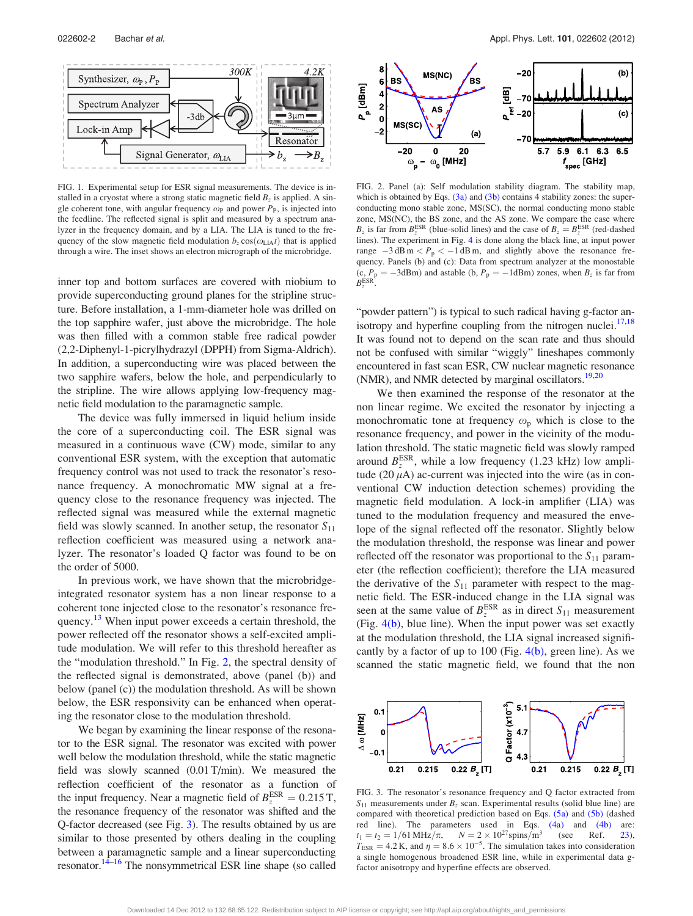<span id="page-2-0"></span>

FIG. 1. Experimental setup for ESR signal measurements. The device is installed in a cryostat where a strong static magnetic field  $B<sub>z</sub>$  is applied. A single coherent tone, with angular frequency  $\omega_P$  and power  $P_P$ , is injected into the feedline. The reflected signal is split and measured by a spectrum analyzer in the frequency domain, and by a LIA. The LIA is tuned to the frequency of the slow magnetic field modulation  $b_z \cos(\omega_{\text{L1A}}t)$  that is applied through a wire. The inset shows an electron micrograph of the microbridge.

inner top and bottom surfaces are covered with niobium to provide superconducting ground planes for the stripline structure. Before installation, a 1-mm-diameter hole was drilled on the top sapphire wafer, just above the microbridge. The hole was then filled with a common stable free radical powder (2,2-Diphenyl-1-picrylhydrazyl (DPPH) from Sigma-Aldrich). In addition, a superconducting wire was placed between the two sapphire wafers, below the hole, and perpendicularly to the stripline. The wire allows applying low-frequency magnetic field modulation to the paramagnetic sample.

The device was fully immersed in liquid helium inside the core of a superconducting coil. The ESR signal was measured in a continuous wave (CW) mode, similar to any conventional ESR system, with the exception that automatic frequency control was not used to track the resonator's resonance frequency. A monochromatic MW signal at a frequency close to the resonance frequency was injected. The reflected signal was measured while the external magnetic field was slowly scanned. In another setup, the resonator  $S_{11}$ reflection coefficient was measured using a network analyzer. The resonator's loaded Q factor was found to be on the order of 5000.

In previous work, we have shown that the microbridgeintegrated resonator system has a non linear response to a coherent tone injected close to the resonator's resonance fre-quency.<sup>[13](#page-4-0)</sup> When input power exceeds a certain threshold, the power reflected off the resonator shows a self-excited amplitude modulation. We will refer to this threshold hereafter as the "modulation threshold." In Fig. 2, the spectral density of the reflected signal is demonstrated, above (panel (b)) and below (panel (c)) the modulation threshold. As will be shown below, the ESR responsivity can be enhanced when operating the resonator close to the modulation threshold.

We began by examining the linear response of the resonator to the ESR signal. The resonator was excited with power well below the modulation threshold, while the static magnetic field was slowly scanned (0.01 T/min). We measured the reflection coefficient of the resonator as a function of the input frequency. Near a magnetic field of  $B_z^{\text{ESR}} = 0.215 \text{ T}$ , the resonance frequency of the resonator was shifted and the Q-factor decreased (see Fig. 3). The results obtained by us are similar to those presented by others dealing in the coupling between a paramagnetic sample and a linear superconducting resonator.<sup>14–16</sup> The nonsymmetrical ESR line shape (so called



FIG. 2. Panel (a): Self modulation stability diagram. The stability map, which is obtained by Eqs.  $(3a)$  and  $(3b)$  contains 4 stability zones: the superconducting mono stable zone, MS(SC), the normal conducting mono stable zone, MS(NC), the BS zone, and the AS zone. We compare the case where  $B_z$  is far from  $B_z^{\text{ESR}}$  (blue-solid lines) and the case of  $B_z = B_z^{\text{ESR}}$  (red-dashed lines). The experiment in Fig. [4](#page-3-0) is done along the black line, at input power range  $-3$  dB m  $\lt P_p \lt -1$  dB m, and slightly above the resonance frequency. Panels (b) and (c): Data from spectrum analyzer at the monostable (c,  $P_p = -3d$ Bm) and astable (b,  $P_p = -1d$ Bm) zones, when  $B_z$  is far from  $B_z^{\text{ESR}}$ .

"powder pattern") is typical to such radical having g-factor anisotropy and hyperfine coupling from the nitrogen nuclei. $17,18$ It was found not to depend on the scan rate and thus should not be confused with similar "wiggly" lineshapes commonly encountered in fast scan ESR, CW nuclear magnetic resonance (NMR), and NMR detected by marginal oscillators.<sup>19,20</sup>

We then examined the response of the resonator at the non linear regime. We excited the resonator by injecting a monochromatic tone at frequency  $\omega_{\rm p}$  which is close to the resonance frequency, and power in the vicinity of the modulation threshold. The static magnetic field was slowly ramped around  $B_z^{\text{ESR}}$ , while a low frequency (1.23 kHz) low amplitude  $(20 \,\mu\text{A})$  ac-current was injected into the wire (as in conventional CW induction detection schemes) providing the magnetic field modulation. A lock-in amplifier (LIA) was tuned to the modulation frequency and measured the envelope of the signal reflected off the resonator. Slightly below the modulation threshold, the response was linear and power reflected off the resonator was proportional to the  $S_{11}$  parameter (the reflection coefficient); therefore the LIA measured the derivative of the  $S_{11}$  parameter with respect to the magnetic field. The ESR-induced change in the LIA signal was seen at the same value of  $B_z^{\text{ESR}}$  as in direct  $S_{11}$  measurement (Fig. [4\(b\)](#page-3-0), blue line). When the input power was set exactly at the modulation threshold, the LIA signal increased significantly by a factor of up to 100 (Fig.  $4(b)$ , green line). As we scanned the static magnetic field, we found that the non



FIG. 3. The resonator's resonance frequency and Q factor extracted from  $S_{11}$  measurements under  $B_z$  scan. Experimental results (solid blue line) are compared with theoretical prediction based on Eqs. [\(5a\)](#page-4-0) and [\(5b\)](#page-4-0) (dashed red line). The parameters used in Eqs. [\(4a\)](#page-3-0) and [\(4b\)](#page-3-0) are:  $t_1 = t_2 = 1/61 \text{ MHz}/\pi$ ,  $N = 2 \times 10^{27} \text{spins/m}^3$  (see Ref. [23](#page-4-0)),  $T_{ESR} = 4.2$  K, and  $\eta = 8.6 \times 10^{-5}$ . The simulation takes into consideration a single homogenous broadened ESR line, while in experimental data gfactor anisotropy and hyperfine effects are observed.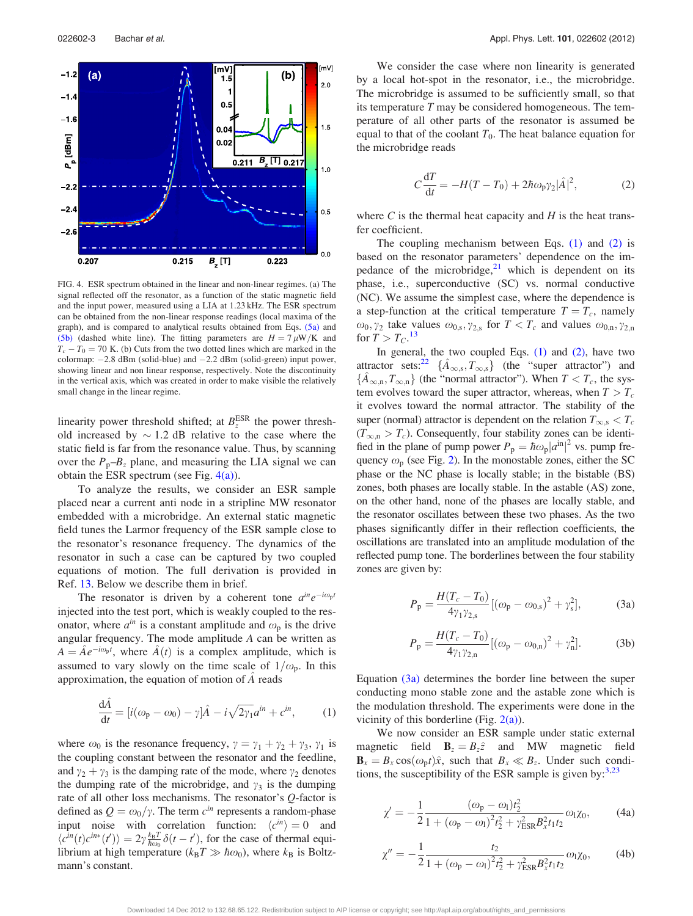<span id="page-3-0"></span>

FIG. 4. ESR spectrum obtained in the linear and non-linear regimes. (a) The signal reflected off the resonator, as a function of the static magnetic field and the input power, measured using a LIA at 1.23 kHz. The ESR spectrum can be obtained from the non-linear response readings (local maxima of the graph), and is compared to analytical results obtained from Eqs. [\(5a\)](#page-4-0) and [\(5b\)](#page-4-0) (dashed white line). The fitting parameters are  $H = 7 \mu W/K$  and  $T_c - T_0 = 70$  K. (b) Cuts from the two dotted lines which are marked in the colormap:  $-2.8$  dBm (solid-blue) and  $-2.2$  dBm (solid-green) input power, showing linear and non linear response, respectively. Note the discontinuity in the vertical axis, which was created in order to make visible the relatively small change in the linear regime.

linearity power threshold shifted; at  $B_z^{\text{ESR}}$  the power threshold increased by  $\sim$  1.2 dB relative to the case where the static field is far from the resonance value. Thus, by scanning over the  $P_p-B_z$  plane, and measuring the LIA signal we can obtain the ESR spectrum (see Fig.  $4(a)$ ).

To analyze the results, we consider an ESR sample placed near a current anti node in a stripline MW resonator embedded with a microbridge. An external static magnetic field tunes the Larmor frequency of the ESR sample close to the resonator's resonance frequency. The dynamics of the resonator in such a case can be captured by two coupled equations of motion. The full derivation is provided in Ref. [13.](#page-4-0) Below we describe them in brief.

The resonator is driven by a coherent tone  $a^{in}e^{-i\omega_p t}$ injected into the test port, which is weakly coupled to the resonator, where  $a^{in}$  is a constant amplitude and  $\omega_p$  is the drive angular frequency. The mode amplitude A can be written as  $A = \hat{A}e^{-i\omega_p t}$ , where  $\hat{A}(t)$  is a complex amplitude, which is assumed to vary slowly on the time scale of  $1/\omega_{p}$ . In this approximation, the equation of motion of A^ reads

$$
\frac{\mathrm{d}\hat{A}}{\mathrm{d}t} = [i(\omega_{\mathrm{p}} - \omega_{0}) - \gamma]\hat{A} - i\sqrt{2\gamma_{1}}a^{in} + c^{in}, \qquad (1)
$$

where  $\omega_0$  is the resonance frequency,  $\gamma = \gamma_1 + \gamma_2 + \gamma_3$ ,  $\gamma_1$  is the coupling constant between the resonator and the feedline, and  $\gamma_2 + \gamma_3$  is the damping rate of the mode, where  $\gamma_2$  denotes the dumping rate of the microbridge, and  $\gamma_3$  is the dumping rate of all other loss mechanisms. The resonator's  $Q$ -factor is defined as  $Q = \omega_0/\gamma$ . The term  $c^{in}$  represents a random-phase input noise with correlation function:  $\langle c^{in} \rangle = 0$  and  $\langle c^{in}(t)c^{in*}(t') \rangle = 2\gamma \frac{k_B T}{\hbar \omega_0} \delta(t-t')$ , for the case of thermal equilibrium at high temperature ( $k_B T \gg \hbar \omega_0$ ), where  $k_B$  is Boltzmann's constant.

We consider the case where non linearity is generated by a local hot-spot in the resonator, i.e., the microbridge. The microbridge is assumed to be sufficiently small, so that its temperature  $T$  may be considered homogeneous. The temperature of all other parts of the resonator is assumed be equal to that of the coolant  $T_0$ . The heat balance equation for the microbridge reads

$$
C\frac{\mathrm{d}T}{\mathrm{d}t} = -H(T - T_0) + 2\hbar\omega_{\mathrm{p}}\gamma_2|\hat{A}|^2,\tag{2}
$$

where  $C$  is the thermal heat capacity and  $H$  is the heat transfer coefficient.

The coupling mechanism between Eqs.  $(1)$  and  $(2)$  is based on the resonator parameters' dependence on the impedance of the microbridge, $2<sup>1</sup>$  which is dependent on its phase, i.e., superconductive (SC) vs. normal conductive (NC). We assume the simplest case, where the dependence is a step-function at the critical temperature  $T = T_c$ , namely  $\omega_0$ ,  $\gamma_2$  take values  $\omega_{0,s}$ ,  $\gamma_{2,s}$  for  $T < T_c$  and values  $\omega_{0,n}$ ,  $\gamma_{2,n}$ for  $T > T_C$ .<sup>[13](#page-4-0)</sup>

In general, the two coupled Eqs.  $(1)$  and  $(2)$ , have two attractor sets:<sup>[22](#page-4-0)</sup>  $\{\hat{A}_{\infty,s}, T_{\infty,s}\}$  (the "super attractor") and  $\{\hat{A}_{\infty,n}, T_{\infty,n}\}\$  (the "normal attractor"). When  $T < T_c$ , the system evolves toward the super attractor, whereas, when  $T > T_c$ it evolves toward the normal attractor. The stability of the super (normal) attractor is dependent on the relation  $T_{\infty,s} < T_c$  $(T_{\infty,n} > T_c)$ . Consequently, four stability zones can be identified in the plane of pump power  $P_p = \hbar \omega_p |a^{\text{in}}|^2$  vs. pump frequency  $\omega_{\rm p}$  (see Fig. [2\)](#page-2-0). In the monostable zones, either the SC phase or the NC phase is locally stable; in the bistable (BS) zones, both phases are locally stable. In the astable (AS) zone, on the other hand, none of the phases are locally stable, and the resonator oscillates between these two phases. As the two phases significantly differ in their reflection coefficients, the oscillations are translated into an amplitude modulation of the reflected pump tone. The borderlines between the four stability zones are given by:

$$
P_{\rm p} = \frac{H(T_c - T_0)}{4\gamma_1\gamma_{2,\rm s}} [(\omega_{\rm p} - \omega_{0,\rm s})^2 + \gamma_{\rm s}^2],\tag{3a}
$$

$$
P_{\rm p} = \frac{H(T_c - T_0)}{4\gamma_1\gamma_{2,\rm n}} [(\omega_{\rm p} - \omega_{0,\rm n})^2 + \gamma_{\rm n}^2].
$$
 (3b)

Equation (3a) determines the border line between the super conducting mono stable zone and the astable zone which is the modulation threshold. The experiments were done in the vicinity of this borderline (Fig.  $2(a)$ ).

We now consider an ESR sample under static external magnetic field  $\mathbf{B}_z = B_z \hat{z}$  and MW magnetic field  $\mathbf{B}_x = B_x \cos(\omega_p t)\hat{x}$ , such that  $B_x \ll B_z$ . Under such conditions, the susceptibility of the ESR sample is given by: $3,23$ 

$$
\chi' = -\frac{1}{2} \frac{(\omega_{\rm p} - \omega_{\rm l}) t_2^2}{1 + (\omega_{\rm p} - \omega_{\rm l})^2 t_2^2 + \gamma_{\rm ESR}^2 B_x^2 t_1 t_2} \omega_{\rm l} \chi_0,\tag{4a}
$$

$$
\chi'' = -\frac{1}{2} \frac{t_2}{1 + (\omega_p - \omega_1)^2 t_2^2 + \gamma_{ESR}^2 B_x^2 t_1 t_2} \omega_1 \chi_0, \tag{4b}
$$